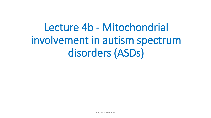Lecture 4b - Mitochondrial involvement in autism spectrum disorders (ASDs)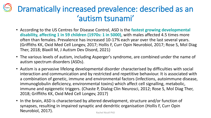### Dramatically increased prevalence: described as an 'autism tsunami'

- According to the US Centres for Disease Control, ASD is the **fastest growing developmental disability, affecting 1 in 59 children (1970s: 1 in 5000)**, with males affected 4.5 times more often than females. Prevalence has increased 10-17% each year over the last several years. (Griffiths KK, Oxid Med Cell Longev, 2017; Hollis F, Curr Opin Neurobiol, 2017; Rose S, Mol Diag Ther, 2018; Blaxill M, J Autism Dev Disord, 2021)
- The various levels of autism, including Asperger's syndrome, are combined under the name of autism spectrum disorders (ASDs).
- Autism is a pervasive lifelong developmental disorder characterised by difficulties with social interaction and communication and by restricted and repetitive behaviour. It is associated with a combination of genetic, immune and environmental factors (infections, autoimmune disease, immunoglobulin deficiency, environmental toxins) which affect cell signalling, metabolic, immune and epigenetic triggers. (Chaste P, Dialog Clin Neurosci, 2012; Rose S, Mol Diag Ther, 2018; Griffiths KK, Oxid Med Cell Longev, 2017)
- In the brain, ASD is characterised by altered development, structure and/or function of synapses, resulting in impaired synaptic and dendritic organisation (Hollis F, Curr Opin Neurobiol, 2017). Rachel Nicoll PhD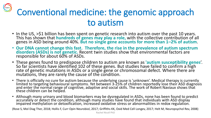# Conventional medicine: the genomic approach to autism

- In the US, >\$1 billion has been spent on genetic research into autism over the past 10 years. This has shown that **hundreds of genes may play a role,** with the collective contribution of all genes in ASD being around 40%. **But no single gene accounts for more than 1–2% of autism**.
- **Our DNA cannot change this fast. Therefore, the rise in the prevalence of autism spectrum disorders (ASDs) is not genetic.** Recent twin studies show that environmental factors are responsible for about 60% of ASDs.
- These genes found to predispose children to autism are known as **'autism susceptibility genes**'. So far scientists have identified 102 of these genes. But studies have failed to confirm a high rate of genetic mutations in ASDs or a single gene or chromosomal defect. Where there are mutations, they are rarely the cause of the condition.
- There is officially no cure for autism because the underlying cause is 'unknown'. Medical therapy is currently limited to targeting behavioural symptoms. Yet between 3-25% of children reportedly lose their ASD diagnosis and enter the normal range of cognitive, adaptive and social skills. The work of Robert Naviaux shows that these children can be helped.
- Although many urinary and blood biomarkers may be dysregulated in ASDs, none has been found to predict accurately or detect the condition, although many studies have found that individuals with ASD display impaired methylation or detoxification, increased oxidative stress or abnormalities in redox regulation.

(Rose S, Mol Diag Ther, 2018; Hollis F, Curr Opin Neurobiol, 2017; Griffiths KK, Oxid Med Cell Longev, 2017; Helt M, Neuropsychol Rev, 2008)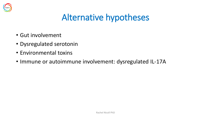

### Alternative hypotheses

- Gut involvement
- Dysregulated serotonin
- Environmental toxins
- Immune or autoimmune involvement: dysregulated IL-17A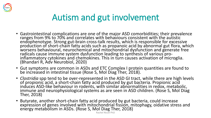

### Autism and gut involvement

- Gastrointestinal complications are one of the major ASD comorbidities; their prevalence ranges from 9% to 70% and correlates with behaviours consistent with the autistic endophenotype. Strong gut-brain cross-talk results, which is responsible for excessive production of short-chain fatty acids such as propanoic acid by abnormal gut flora, which worsens behavioural, neurochemical and mitochondrial dysfunction and generate free radicals cause immune system dysfunction leading to synthesis of various proinflammatory cytokines and chemokines. This in turn causes activation of microglia. (Bhandari R, Adv Neurobiol, 2020)
- Gut symptoms are common in ASDs and ETC Complex I protein quantities are found to be increased in intestinal tissue (Rose S, Mol Diag Ther, 2018).
- *Clostridia* spp tend to be over-represented in the ASD GI tract, while there are high levels of propionic acid, a short-chain fatty acid produced by gut bacteria. Propionic acid induces ASD-like behaviour in rodents, with similar abnormalities in redox, metabolic, immune and neurophysiological systems as are seen in ASD children. (Rose S, Mol Diag Ther, 2018)
- Butyrate, another short-chain fatty acid produced by gut bacteria, could increase expression of genes involved with mitochondrial fission, mitophagy, oidative stress and energy metabolism in ASDs. (Rose S, Mol Diag Ther, 2018)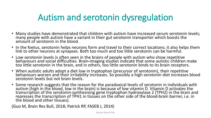### Autism and serotonin dysregulation

- Many studies have demonstrated that children with autism have increased serum serotonin levels; many people with autism have a variant in their gut serotonin transporter which boosts the amount of serotonin in the blood.
- In the foetus, serotonin helps neurons form and travel to their correct locations; it also helps them link to other neurons at synapses. Both too much and too little serotonin can be harmful.
- Low serotonin levels is often seen in the brains of people with autism who show repetitive behaviours and social difficulties. Brain-imaging studies indicate that some autistic children make too little serotonin in the brain, and in others, too little serotonin binds to its brain receptors.
- When autistic adults adopt a diet low in tryptophan (precursor of serotonin), their repetitive behaviours worsen and their irritability increases. So possibly a high serotonin diet increases blood serotonin levels but not brain levels.
- Some research suggests that the reason for the paradoxical levels of serotonin in individuals with autism (high in the blood, low in the brain) is because of low vitamin D. Vitamin D activates the transcription of the serotonin-synthesising gene tryptophan hydroxylase 2 (TPH2) in the brain and represses the transcription of TPH1 in tissues on the other side of the blood-brain barrier, i.e. in the blood and other tissues).

(Guo M, Brain Res Bull, 2018; Patrick RP, FASEB J, 2014)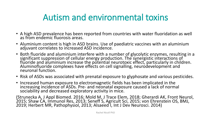### Autism and environmental toxins

- A high ASD prevalence has been reported from countries with water fluoridation as well as from endemic fluorosis areas.
- Aluminium content is high in ASD brains. Use of paediatric vaccines with an aluminium adjuvant correlates to increased ASD incidence.
- Both fluoride and aluminium interfere with a number of glycolytic enzymes, resulting in a significant suppression of cellular energy production. The synergistic interactions of fluoride and aluminium increase the potential neurotoxic effect, particularly in children. Aluminofluoride complexes have effects on cell signalling, neurodevelopment and neuronal function.
- Risk of ASDs was associated with prenatal exposure to glyphosate and various pesticides.
- Increased human exposure to electromagnetic fields has been implicated in the increasing incidence of ASDs. Pre- and neonatal exposure caused a lack of normal sociability and decreased exploratory activity in mice.

(Strunecka A, J Appl Biomed. 2016; Mold M, J Trace Elem, 2018; Gherardi AK, Front Neurol, 2015; Shaw CA, Immunol Res, 2013; Seneff S, Agricult Sci, 2015; von Ehrenstein OS, BMJ, 2019; Herbert MR, Pathophysiol, 2013; Alsaeed I, Int J Dev Neurosci. 2014)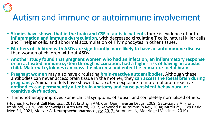

### Autism and immune or autoimmune involvement

- **Studies have shown that in the brain and CSF of autistic patients** there is evidence of both **inflammation and immune dysregulation**, with decreased circulating T cells, natural killer cells and T helper cells, and abnormal accumulation of T lymphocytes in other tissues.
- **Mothers of children with ASDs are significantly more likely to have an autoimmune disease** than women of children without ASDs.
- **Another study found that pregnant women who had an infection, an inflammatory response or an activated immune system through vaccination, had a higher risk of having an autistic child. Maternal cytokines can cross the placenta and enter the immature foetal brain.**
- **Pregnant women** may also have circulating **brain-reactive autoantibodies**. Although these antibodies can never access brain tissue in the mother, they **can access the foetal brain during pregnancy**. Animal models have shown that *in utero* exposure to maternal brain-reactive **antibodies can permanently alter brain anatomy and cause persistent behavioural or cognitive dysfunction**.
- Immunotherapy improved some clinical symptoms of autism and completely normalised others.

(Hughes HK, Front Cell Neurosci, 2018; Enstrom AM, Curr Opin Investig Drugs. 2009; Gata-Garcia A, Front Immunol, 2019; Braunschweig D, Arch Neurol, 2012; Ashwood P, Autoimmun Rev, 2004; Mutlu ZS, J Exp Basic Med Sci, 2021; Meltzer A, Neuropsychopharmacology, 2017; Antonucci N, Madridge J Vaccines, 2019)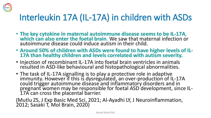

# Interleukin 17A (IL-17A) in children with ASDs

- **The key cytokine in maternal autoimmune disease seems to be IL-17A**, **which can also enter the foetal brain**. We saw that maternal infection or autoimmune disease could induce autism in their child.
- **Around 50% of children with ASDs were found to have higher levels of IL-17A than healthy children and levels correlated with autism severity.**
- Injection of recombinant IL-17A into foetal brain ventricles in animals resulted in ASD-like behavioural and histopathological abnormalities.
- The task of IL-17A signalling is to play a protective role in adaptive immunity. However if this is dysregulated, an over-production of IL-17A could trigger autoimmune disease and inflammatory disorders and in pregnant women may be responsible for foetal ASD development, since IL-17A can cross the placental barrier.

(Mutlu ZS, J Exp Basic Med Sci, 2021; Al-Ayadhi LY, J Neuroinflammation, 2012; Sasaki T, Mol Brain, 2020)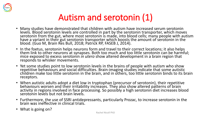

### Autism and serotonin (1)

- Many studies have demonstrated that children with autism have increased serum serotonin levels. Blood serotonin levels are controlled in part by the serotonin transporter, which moves i serotonin from the gut, where most serotonin is made, into blood cells; many people with autism have a variant in their gut serotonin transporter which boosts the amount of serotonin in the blood. (Guo M, Brain Res Bull, 2018; Patrick RP, FASEB J, 2014).
- In the foetus, serotonin helps neurons form and travel to their correct locations; it also helps them link to other neurons at synapses. Both too much and too little serotonin can be harmful; mice exposed to excess serotonin *in utero* show altered development in a brain region that responds to whisker movements.
- Yet some studies point to low serotonin levels in the brains of people with autism who show repetitive behaviours and social difficulties. Brain-imaging studies indicate that some autistic children make too little serotonin in the brain, and in others, too little serotonin binds to its brain receptors.
- When autistic adults adopt a diet low in tryptophan (precursor of serotonin), their repetitive behaviours worsen and their irritability increases. They also show altered patterns of brain activity in regions involved in face processing. So possibly a high serotonin diet increases blood serotonin levels but not brain levels.
- Furthermore, the use of SSRI antidepressants, particularly Prozac, to increase serotonin in the brain was ineffective in clinical trials.
- What is going on?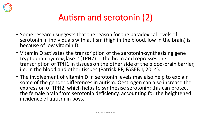

### Autism and serotonin (2)

- Some research suggests that the reason for the paradoxical levels of serotonin in individuals with autism (high in the blood, low in the brain) is because of low vitamin D.
- Vitamin D activates the transcription of the serotonin-synthesising gene tryptophan hydroxylase 2 (TPH2) in the brain and represses the transcription of TPH1 in tissues on the other side of the blood-brain barrier, i.e. in the blood and other tissues (Patrick RP, FASEB J, 2014).
- The involvement of vitamin D in serotonin levels may also help to explain some of the gender differences in autism. Oestrogen can also increase the expression of TPH2, which helps to synthesise serotonin; this can protect the female brain from serotonin deficiency, accounting for the heightened incidence of autism in boys.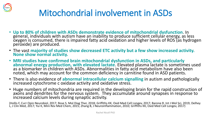

# Mitochondrial involvement in ASDs

- **Up to 80% of children with ASDs demonstrate evidence of mitochondrial dysfunction**. In general, individuals with autism have an inability to produce sufficient cellular energy, as less  $\alpha$ xygen is consumed, there is impaired fatty acid oxidation and higher levels of ROS (as hydrogen peroxide) are produced.
- The vast **majority of studies show decreased ETC activity but a few show increased activity. None show normal activity.**
- **MRI studies have confirmed brain mitochondrial dysfunction in ASDs, and particularly abnormal energy production, with elevated lactate**. Elevated plasma lactate is sometimes used as a biomarker in children with ASDs. Abnormalities in fatty acid metabolism have also been noted, which may account for the common deficiency in carnitine found in ASD patients.
- There is also evidence of **abnormal intracellular calcium signalling** in autism and pathologically increased cytochrome c oxidase activity and oxidative stress.
- Huge numbers of mitochondria are required in the developing brain for the rapid construction of axons and dendrites for the nervous system. They accumulate around synapses in response to increased calcium levels during synaptic activity.

(Hollis F, Curr Opin Neurobiol, 2017; Rose S, Mol Diag Ther, 2018; Griffiths KK, Oxid Med Cell Longev, 2017; Barone R, Int J Mol Sci, 2019; Delhey L, J Clin Med, 2017; Yui K, Mini Rev Med Chem, 2015; Zhang B, J Neuroinflammation, 2010; Griffiths KK, Oxid Med Cell Longev, 2017)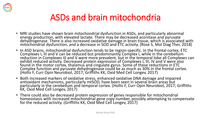

### ASDs and brain mitochondria

- MRI studies have shown brain mitochondrial dysfunction in ASDs, and particularly abnormal energy production, with elevated lactate. There may be decreased aconitase and pyruvate dehydrogenase. There is also increased oxidative damage in brain tissue, which is associated with mitochondrial dysfunction, and a decrease in SOD and ETC activity. (Rose S, Mol Diag Ther, 2018)
- In ASD brains, mitochondrial dysfunction tends to be region-specific. In the frontal cortex, ETC Complexes I, III and V can be reduced but predominantly Complex I, while in the cerebellum reduction in Complexes III and V were more prevalent, but in the temporal lobe all Complexes can exhibit reduced activity. Decreased protein expression of Complexes I, III, IV and V were also found in the motor cortex, thalamus and cingulate gyrus. Some of these reductions in ETC Complex function and pyruvate dehydrogenase could be as much as 30% in the frontal cortex. (Hollis F, Curr Opin Neurobiol, 2017; Griffiths KK, Oxid Med Cell Longev, 2017)
- Both increased markers of oxidative stress, enhanced oxidative DNA damage and impaired antioxidant mechanisms, particularly mtSOD, have been seen in several brain areas but particularly in the cerebellum and temporal cortex. (Hollis F, Curr Opin Neurobiol, 2017; Griffiths KK, Oxid Med Cell Longev, 2017)
- There could also be decreased protein expression of genes responsible for mitochondrial homeostasis with increased mitochondrial gene copy number, possibly attempting to compensate for the reduced activity. (Griffiths KK, Oxid Med Cell Longev, 2017)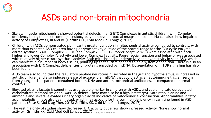

### ASDs and non-brain mitochondria

- Skeletal muscle mitochondria showed potential defects in all 5 ETC Complexes in autistic children, with Complex I deficiency being the most common. Leukocyte, lymphocyte or buccal mucosa mitochondria can also show impaired activity of Complexes I, III and IV. (Griffiths KK, Oxid Med Cell Longev, 2017)
- Children with ASDs demonstrated significantly greater variation in mitochondrial activity compared to controls, with more than expected ASD children having enzyme activity outside of the normal range for the TCA cycle enzyme citrate synthase (24%), Complex I (39%) and Complex IV (11%). Poorer adaptive skills were associated with both higher and lower Complex IV activity and lower Complex I activity. Poorer social function and behavior was associated with relatively higher citrate synthase activity. <u>Both mitochondrial underactivity and overactivity in seen ASD,</u> which can manifest in a number of body tissues, pointing up that autism appears to be a systemic condition. There is also an association with ETC Complex deficiencies of proteins encoded by mtDNA. Dysregulation of mTOR signalling has also been found.
- A US team also found that the regulatory peptide neurotensin, secreted in the gut and hypothalamus, is increased in autistic children and also induces release of extracellular mtDNA that could act as an autoimmune trigger. Serum from young autistic patients contained both mtDNA and anti-mitochondrial antibodies, as compared to normal controls.
- Elevated plasma lactate is sometimes used as a biomarker in children with ASDs, and could indicate upregulated carbohydrate metabolism or an OXPHOS defect. There may also be a high lactate/pyruvate ratio, alanine and ammonia and several elevated urinary organic acids indicative of mitochondrial dysfunction. Abnormalities in fatty acid metabolism have also been noted, which may account for the common deficiency in carnitine found in ASD patients. (Rose S, Mol Diag Ther, 2018; Griffiths KK, Oxid Med Cell Longev, 2017)
- The vast majority of studies show decreased ETC activity but a few show increased activity. None show normal activity. (Griffiths KK, Oxid Med Cell Longev, 2017) Rachel Nicoll PhD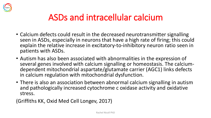

### ASDs and intracellular calcium

- Calcium defects could result in the decreased neurotransmitter signalling seen in ASDs, especially in neurons that have a high rate of firing; this could explain the relative increase in excitatory-to-inhibitory neuron ratio seen in patients with ASDs.
- Autism has also been associated with abnormalities in the expression of several genes involved with calcium signalling or homeostasis. The calciumdependent mitochondrial aspartate/glutamate carrier (AGC1) links defects in calcium regulation with mitochondrial dysfunction.
- There is also an association between abnormal calcium signalling in autism and pathologically increased cytochrome c oxidase activity and oxidative stress.

(Griffiths KK, Oxid Med Cell Longev, 2017)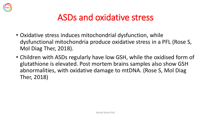

### ASDs and oxidative stress

- Oxidative stress induces mitochondrial dysfunction, while dysfunctional mitochondria produce oxidative stress in a PFL (Rose S, Mol Diag Ther, 2018).
- Children with ASDs regularly have low GSH, while the oxidised form of glutathione is elevated. Post mortem brains samples also show GSH abnormalities, with oxidative damage to mtDNA. (Rose S, Mol Diag Ther, 2018)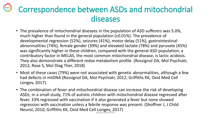### Correspondence between ASDs and mitochondrial diseases

- The prevalence of mitochondrial diseases in the population of ASD sufferers was 5.0%, much higher than found in the general population (c0.01%). The prevalence of developmental regression (52%), seizures (41%), motor delay (51%), gastrointestinal abnormalities (74%), female gender (39%) and elevated lactate (78%) and pyruvate (45%) was significantly higher in these children, compared with the general ASD population; a contributory factor in MELAS, the most common mitochondrial disease, is lactic acidosis. They also demonstrate a different redox metabolism profile. (Rossignol DA, Mol Psychiatr, 2012; Rose S, Mol Diag Ther, 2018)
- Most of these cases (79%) were not associated with genetic abnormalities, although a few had defects in mtDNA (Rossignol DA, Mol Psychiatr, 2012; Griffiths KK, Oxid Med Cell Longev, 2017).
- The combination of fever and mitochondrial disease can increase the risk of developing ASDs; in a small study, 71% of autistic children with mitochondrial disease regressed after fever. 33% regressed with vaccination if it also generated a fever but none showed regression with vaccination unless a febrile response was present. (Shoffner J, J Child Neurol, 2010; Griffiths KK, Oxid Med Cell Longev, 2017) Rachel Nicoll PhD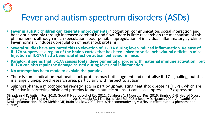

### Fever and autism spectrum disorders (ASDs)

- **Fever in autistic children can generate improvements** in cognition, communication, social interaction and behaviour, possibly through increased cerebral blood flow. There is little research on the mechanism of this phenomenon, although much speculation about possible upregulation of individual inflammatory cytokines. Fever normally induces upregulation of heat shock proteins.
- **Several studies have attributed this to elevation of IL-17A during fever-induced inflammation. Release of IL-17A suppresses a region of the brain's cortex that has been linked to social behavioural deficits in mice. Injection of IL-17A had a beneficial effect on autism behaviour in mice.**
- **Paradox: it seems that IL-17A causes foetal developmental disorder with maternal immune activation…but IL-17A can also repair the damage caused during fever and inflammation.**
- **No attempt has been made to explain the paradox.**
- There is some indication that heat shock proteins may both augment and neutralise IL-17 signalling, but this is a largely unexplored research area, particularly with respect to autism.
- Sulphoraphane, a mitochondrial remedy, acts in part by upregulating heat shock proteins (HSPs), which are effective in correcting misfolded proteins found in autistic brains. It can also suppress IL-17 expression.

(Grzadzinski R, Autism Res, 2018; Good P. Neuropsychol Rev 2011; Calabrese V, J Neurosci Res, 2016; Singh K, CNS Neurol Disord Drug Targets, 2016; Liang J, Front Immunol, 2018; Mutlu ZS, J Exp Basic Med Sci, 2021; Reed MD, Nature, 2020; Al-Ayadhi LY, J Neuroinflammation, 2012; Mehler MF, Brain Res Rev, 2009; https://iancommunity.org/ssc/fever-effect-curious-phenomenonautism)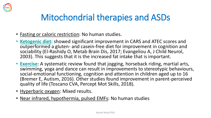

### Mitochondrial therapies and ASDs

- Fasting or caloric restriction: No human studies.
- **Ketogenic diet:** showed significant improvement in CARS and ATEC scores and outperformed a gluten- and casein-free diet for improvement in cognition and sociability (El-Rashidy O, Metab Brain Dis, 2017; Evangeliou A, J Child Neurol, 2003). This suggests that it is the increased fat intake that is important.
- **Exercise**: A systematic review found that jogging, horseback riding, martial arts, swimming, yoga and dance can result in improvements to stereotypic behaviours, social-emotional functioning, cognition and attention in children aged up to 16 (Bremer E, Autism, 2016). Other studies found improvement in parent-perceived quality of life (Toscano CVA, Percept Mot Skills, 2018).
- Hyperbaric oxygen: Mixed results.
- Near infrared, hypothermia, pulsed EMFs: No human studies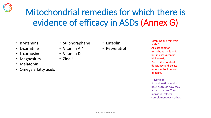

# Mitochondrial remedies for which there is evidence of efficacy in ASDs (Annex G)

- B vitamins
- L-carnitine
- L-carnosine
- Magnesium
- Melatonin
- Omega 3 fatty acids
- Sulphoraphane
- Vitamin A \*
- Vitamin D
- Zinc \*
- Luteolin
- Resveratrol

Vitamins and minerals with \* All essential for mitochondrial function but in excess can be highly toxic. Both mitochondrial deficiency and excess induce mitochondrial damage.

Flavonoids A combination works best, as this is how they arise in nature. Their individual effects complement each other.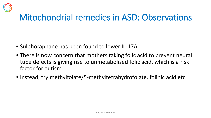

### Mitochondrial remedies in ASD: Observations

- Sulphoraphane has been found to lower IL-17A.
- There is now concern that mothers taking folic acid to prevent neural tube defects is giving rise to unmetabolised folic acid, which is a risk factor for autism.
- Instead, try methylfolate/5-methyltetrahydrofolate, folinic acid etc.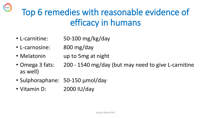# Top 6 remedies with reasonable evidence of efficacy in humans

- L-carnitine: 50-100 mg/kg/day
- L-carnosine: 800 mg/day

HERT

- Melatonin up to 5mg at night
- Omega 3 fats: 200 1540 mg/day (but may need to give L-carnitine as well)
- Sulphoraphane: 50-150 µmol/day
- Vitamin D: 2000 IU/day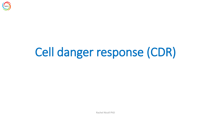

# Cell danger response (CDR)

Rachel Nicoll PhD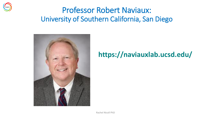

### Professor Robert Naviaux: University of Southern California, San Diego



### **https://naviauxlab.ucsd.edu/**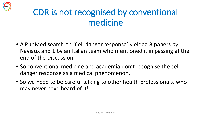

### CDR is not recognised by conventional medicine

- A PubMed search on 'Cell danger response' yielded 8 papers by Naviaux and 1 by an Italian team who mentioned it in passing at the end of the Discussion.
- So conventional medicine and academia don't recognise the cell danger response as a medical phenomenon.
- So we need to be careful talking to other health professionals, who may never have heard of it!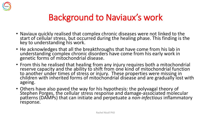

### Background to Naviaux's work

- Naviaux quickly realised that complex chronic diseases were not linked to the start of cellular stress, but occurred during the healing phase. This finding is the key to understanding his work.
- He acknowledges that all the breakthroughs that have come from his lab in understanding complex chronic disorders have come from his early work in genetic forms of mitochondrial disease.
- From this he realised that healing from any injury requires both a mitochondrial reserve capacity and the ability to shift from one kind of mitochondrial function to another under times of stress or injury. These properties were missing in children with inherited forms of mitochondrial disease and are gradually lost with ageing.
- Others have also paved the way for his hypothesis: the polyvagal theory of Stephen Porges, the cellular stress response and damage-associated molecular patterns (DAMPs) that can initiate and perpetuate a *non-infectious* inflammatory response.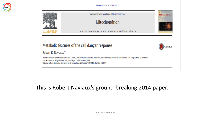



Contents lists available at ScienceDirect

**Mitochondrion** 

CrossMark

#### Mitochondrion

journal homepage: www.elsevier.com/locate/mito

#### Metabolic features of the cell danger response

Robert K. Naviaux\*

The Mitochondrial and Metabolic Disease Center, Departments of Medicine, Pediatrics, and Pathology, University of California, San Diego School of Medicine, 214 Dickinson St., Bldg CTF, Rm C102, San Diego, CA 92103-8467, USA Veterans Affairs Center for Excellence in Stress and Mental Health (CESAMH), La Jolla, CA, USA

#### This is Robert Naviaux's ground-breaking 2014 paper.

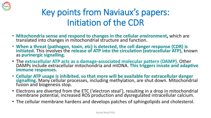

### Key points from Naviaux's papers: Initiation of the CDR

- **Mitochondria sense and respond to changes in the cellular environment,** which are translated into changes in mitochondrial structure and function.
- **When a threat (pathogen, toxin, etc) is detected, the cell danger response (CDR) is initiated.** This involves the **release of ATP into the circulation (extracellular ATP),** known as **purinergic signalling.**
- The **extracellular ATP acts as a damage-associated molecular pattern (DAMP)**. Other DAMPs include extracellular mitochondria and mtDNA. **This triggers innate and adaptive immune responses.**
- **Cellular ATP usage is inhibited, so that more will be available for extracellular danger signalling**. Many cellular processes, including methylation, are shut down. Mitochondrial fusion and biogenesis stop.
- Electrons are diverted from the ETC ('electron steal'), resulting in a drop in mitochondrial membrane potential, increased ROS production and dysregulated intracellular calcium.
- The cellular membrane hardens and develops patches of sphingolipids and cholesterol.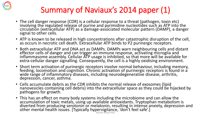

### Summary of Naviaux's 2014 paper (1)

- The cell danger response (CDR) is a cellular response to a threat (pathogen, toxin etc) involving the regulated release of purine and pyrimidine nucleotides such as ATP into the circulation (extracellular ATP) as a damage-associated molecular pattern (DAMP), a danger signal to other cells.
- ATP is known to be released in high concentrations after catastrophic disruption of the cell, as occurs in necrotic cell death. Extracellular ATP binds to P2 purinergic receptors.
- Both extracellular ATP and DNA act as DAMPs. DAMPs warn neighbouring cells and distant effector cells of danger and can trigger an immune response, activating microglia and inflammasome assembly. Cellular ATP usage is inhibited, so that more will be available for extra-cellular danger signalling. Consequently, the cell is a highly oxidising environment.
- Short term activation of purinergic receptors involve normal behaviour, including memory, feeding, locomotion and cognition. Chronic activation of purinergic receptors is found in a wide range of inflammatory diseases, including neurodegenerative disease, arthritis, depression, cancer, asthma.
- Cells accumulate debris as the CDR inhibits the normal release of exosomes (lipid nanovesicles containing cell debris) into the extracellular space as they could be hijacked by pathogens for growth.
- This has an effect on many body systems including the microbiome and can allow the accumulation of toxic metals, using up available antioxidants. Tryptophan metabolism is diverted from producing serotonin or melatonin, resulting in intense anxiety, depression and other mental health issues. [Typically hypervigilance, 'don't feel safe'.] Rachel Nicoll PhD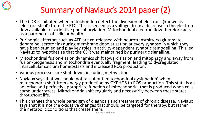

### Summary of Naviaux's 2014 paper (2)

- The CDR is initiated when mitochondria detect the diversion of electrons (known as 'electron steal') from the ETC. This is sensed as a voltage drop: a decrease in the electron flow available for oxidative phosphorylation. Mitochondrial electron flow therefore acts as a barometer of cellular health.
- Purinergic effectors such as ATP are co-released with neurotransmitters (glutamate, dopamine, serotonin) during membrane depolarisation at every synapse in which they have been studied and play key roles in activity-dependent synaptic remodelling. This led Naviaux to hypothesise that the CDR was maintained by purinergic signalling.
- Mitochondrial fusion-fission dynamics shift toward fission and mitophagy and away from fusion/biogenesis and mitochondria eventually fragment, leading to dysregulated intracellular calcium homeostasis and increased ROS production.
- Various processes are shut down, including methylation.
- Naviaux says that we should not talk about 'mitochondrial dysfunction' when mitochondria shift from energy production by OXPHOS to ROS production. This state is an adaptive and perfectly appropriate function of mitochondria, that is produced when cells come under stress. Mitochondria shift regularly and necessarily between these states throughout life.
- This changes the whole paradigm of diagnosis and treatment of chronic disease. Naviaux says that it is not the oxidative changes that should be targeted for therapy, but rather the metabolic conditions that create them.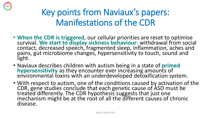

### Key points from Naviaux's papers: Manifestations of the CDR

- **When the CDR is triggered**, our cellular priorities are reset to optimise survival. **We start to display sickness behaviour:** withdrawal from social contact, decreased speech, fragmented sleep, inflammation, aches and pains, gut microbiome changes, hypersensitivity to touch, sound and light.
- Naviaux describes children with autism being in a state of **primed hypersensitivity** as they encounter ever increasing amounts of environmental toxins with an underdeveloped detoxification system.
- With respect to autism, one of the conditions caused by activation of the CDR, gene studies conclude that each genetic cause of ASD must be treated differently. The CDR hypothesis suggests that just one mechanism might be at the root of all the different causes of chronic disease.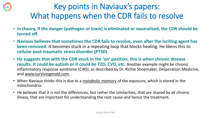

### Key points in Naviaux's papers: What happens when the CDR fails to resolve

- **In theory, if the danger (pathogen or toxin) is eliminated or neutralised, the CDR should be turned off**.
- **Naviaux believes that sometimes the CDR fails to resolve, even after the inciting agent has been removed.** It becomes stuck in a repeating loop that blocks healing. He likens this to **cellular post-traumatic stress disorder (PTSD)**.
- **He suggests that with the CDR stuck in the 'on' position, this is when chronic disease results. It could be autism or it could be T2D, CVD, etc.** Another example might be chronic inflammatory response syndrome (CIRS), as described by Dr. Richie Shoemaker, Desperation Medicine, and [www.survivingmold.com.](http://www.survivingmold.com/)
- When Naviaux thinks this is due to a metabolic memory of the exposure, which is stored in the mitochondria.
- He believes that it is not the differences, but rather the similarities, that are shared by all chronic illness, that are important for understanding the root cause and hence the treatment.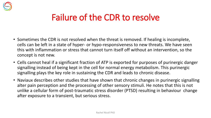

### Failure of the CDR to resolve

- Sometimes the CDR is not resolved when the threat is removed. If healing is incomplete, cells can be left in a state of hyper- or hypo-responsiveness to new threats. We have seen this with inflammation or stress that cannot turn itself off without an intervention, so the concept is not new.
- Cells cannot heal if a significant fraction of ATP is exported for purposes of purinergic danger signalling instead of being kept in the cell for normal energy metabolism. This purinergic signalling plays the key role in sustaining the CDR and leads to chronic disease.
- Naviaux describes other studies that have shown that chronic changes in purinergic signalling alter pain perception and the processing of other sensory stimuli. He notes that this is not unlike a cellular form of post-traumatic stress disorder (PTSD) resulting in behaviour change after exposure to a transient, but serious stress.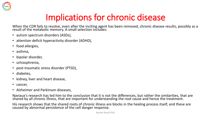

# Implications for chronic disease

When the CDR fails to resolve, even after the inciting agent has been removed, chronic disease results, possibly as a result of the metabolic memory. A small selection includes:

- autism spectrum disorders (ASDs),
- attention deficit hyperactivity disorder (ADHD),
- food allergies,
- asthma,
- bipolar disorder,
- schizophrenia,
- post-traumatic stress disorder (PTSD),
- diabetes,
- kidney, liver and heart disease,
- cancer,
- Alzheimer and Parkinson diseases,

Naviaux's research has led him to the conclusion that it is not the differences, but rather the similarities, that are shared by all chronic illness, that are important for understanding the root cause and hence the treatment.

His research shows that the shared roots of chronic illness are blocks in the healing process itself, and these are caused by abnormal persistence of the cell danger response.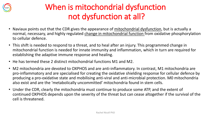

### When is mitochondrial dysfunction not dysfunction at all?

- Naviaux points out that the CDR gives the appearance of mitochondrial dysfunction, but is actually a normal, necessary, and highly regulated change in mitochondrial function from oxidative phosphorylation to cellular defence.
- This shift is needed to respond to a threat, and to heal after an injury. This programmed change in mitochondrial function is needed for innate immunity and inflammation, which in turn are required for establishing the adaptive immune response and healing.
- He has termed these 2 distinct mitochondrial functions M1 and M2.
- M2 mitochondria are devoted to OXPHOS and are anti-inflammatory. In contrast, M1 mitochondria are pro-inflammatory and are specialised for creating the oxidative shielding response for cellular defence by producing a pro-oxidative state and mobilising anti-viral and anti-microbial protection. M0 mitochondria also exist and are the 'metabolically uncommitted' mitochondria found in stem cells.
- Under the CDR, clearly the mitochondria must continue to produce some ATP, and the extent of continued OXPHOS depends upon the severity of the threat but can cease altogether if the survival of the cell is threatened.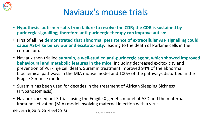

### Naviaux's mouse trials

- **Hypothesis: autism results from failure to resolve the CDR; the CDR is sustained by purinergic signalling; therefore anti-purinergic therapy can improve autism.**
- First of all, he **demonstrated that abnormal persistence of extracellular ATP signalling could cause ASD-like behaviour and excitotoxicity**, leading to the death of Purkinje cells in the cerebellum.
- Naviaux then trialled **suramin, a well-studied anti-purinergic agent, which showed improved behavioural and metabolic features in the mice**, including decreased excitoxicity and prevention of Purkinje cell death. Suramin treatment improved 94% of the abnormal biochemical pathways in the MIA mouse model and 100% of the pathways disturbed in the Fragile X mouse model.
- Suramin has been used for decades in the treatment of African Sleeping Sickness (Trypanosomiasis).
- Naviaux carried out 3 trials using the Fragile X genetic model of ASD and the maternal immune activation (MIA) model involving maternal injection with a virus.

(Naviaux R, 2013, 2014 and 2015) Rachel Nicoll PhD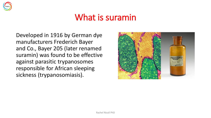

### What is suramin

Developed in 1916 by German dye manufacturers Frederich Bayer and Co., Bayer 205 (later renamed suramin) was found to be effective against parasitic trypanosomes responsible for African sleeping sickness (trypanosomiasis).

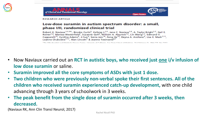



**RESEARCH ARTICLE** 

#### Low-dose suramin in autism spectrum disorder: a small, phase I/II, randomized clinical trial

Robert K. Naviaux<sup>1,2,3,4</sup><sup>,</sup>, Brooke Curtis<sup>5</sup>, Kefeng Li<sup>1,2</sup>, Jane C. Naviaux<sup>1,6</sup>, A. Taylor Bright<sup>1,2</sup>, Gail E. Reiner<sup>1,6</sup>, Marissa Westerfield<sup>7</sup>, Suzanne Goh<sup>8</sup>, William A. Alaynick<sup>1,2</sup>, Lin Wang<sup>1,2</sup>, Edmund V. Capparelli<sup>13</sup>, Cynthia Adams<sup>9</sup>, Ji Sun<sup>9</sup>, Sonia Jain<sup>10</sup>, Feng He<sup>10</sup>, Deyna A. Arellano<sup>9</sup>, Lisa E. Mash<sup>7,11</sup>, Leanne Chukoskie<sup>7,12</sup>, Alan Lincoln<sup>5</sup> & Jeanne Townsend<sup>6,7</sup>

d Kalendarija Pierrena Parador (Liberalda) al Pallaceta. Para Pierre Palaceta d'Albertan

- Now Naviaux carried out an **RCT in autistic boys, who received just one i/v infusion of low dose suramin** or saline.
- **Suramin improved all the core symptoms of ASDs with just 1 dose.**
- **Two children who were previously non-verbal spoke their first sentences. All of the children who received suramin experienced catch-up development,** with one child advancing through 3 years of schoolwork in 3 weeks.
- **The peak benefit from the single dose of suramin occurred after 3 weeks, then decreased.**

(Naviaux RK, Ann Clin Transl Neurol, 2017)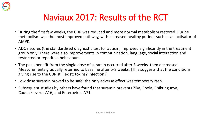

### Naviaux 2017: Results of the RCT

- During the first few weeks, the CDR was reduced and more normal metabolism restored. Purine metabolism was the most improved pathway, with increased healthy purines such as an activator of AMPK.
- ADOS scores (the standardised diagnostic test for autism) improved significantly in the treatment group only. There were also improvements in communication, language, social interaction and restricted or repetitive behaviours.
- The peak benefit from the single dose of suramin occurred after 3 weeks, then decreased. Measurements gradually returned to baseline after 5-8 weeks. [This suggests that the conditions giving rise to the CDR still exist: toxins? infection?]
- Low dose suramin proved to be safe; the only adverse effect was temporary rash.
- Subsequent studies by others have found that suramin prevents Zika, Ebola, Chikungunya, Coxsackievirus A16, and Enterovirus A71.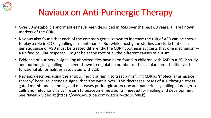

# Naviaux on Anti-Purinergic Therapy

- Over 30 metabolic abnormalities have been described in ASD over the past 60 years; all are known markers of the CDR.
- Naviaux also found that each of the common genes known to increase the risk of ASD can be shown to play a role in CDR signalling or maintenance. But while most gene studies conclude that each genetic cause of ASD must be treated differently, the CDR hypothesis suggests that one mechanism a unified cellular response—might be at the root of all the different causes of autism.
- Evidence of purinergic signalling abnormalities have been found in children with ASD in a 2012 study and purinergic signalling has been shown to regulate a number of the cellular comorbidities and functional abnormalities associated with ASD.
- Naviaux describes using the antipurinergic suramin to treat a misfiring CDR as 'molecular armistice therapy' because it sends a signal that 'the war is over'. This decreases losses of ATP through stressgated membrane channels, and decreases purinergic autocrine and paracrine signalling of danger so cells and mitochondria can return to peacetime metabolism needed for healing and development. See Naviaux video at (https://www.youtube.com/watch?v=zIdUufy8Lk)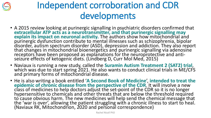

# Independent corroboration and CDR developments

- A 2015 review looking at purinergic signalling in psychiatric disorders confirmed that extracellular ATP acts as a neurotransmitter, and that purinergic signalling may **explain its impact on neuronal activity.** The authors show how mitochondrial and purinergic dysfunction contribute to mental illnesses such as schizophrenia, bipolar disorder, autism spectrum disorder (ASD), depression and addiction. They also report that changes in mitochondrial bioenergetics and purinergic signalling via adenosine receptors have been proposed as explanations for the neuroprotective and antiseizure effects of ketogenic diets. (Lindberg D, Curr Mol Med, 2015)
- Naviaux is running a new study, called the **Suramin Autism Treatment 2 (SAT2) trial**, which was due to start spring 2021. He also wants to conduct clinical trials in ME/CFS and primary forms of mitochondrial disease.
- He is also writing a book entitled '**A Second Book of Medicine**', **intended to treat the epidemic of chronic disease from the perspective of the CDR**. It will involve a new class of medicines to help doctors adjust the set-point of the CDR so it is no longer hypersensitive to chemicals and other threats that are below the threshold required to cause obvious harm. The new medicines will help send the chemical message that the 'war is over', allowing the patient struggling with a chronic illness to start to heal. (Naviaux RK, Mitochondrion, 2020 and personal correspondence)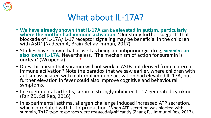

### What about IL-17A?

- **We have already shown that IL-17A can be elevated in autism, particularly where the mother had immune activation**. 'Our study further suggests that blockade of IL-17A/IL-17 receptor signaling may be beneficial in the children with ASD.' (Nadeem A, Brain Behav Immun, 2017)
- Studies have shown that as well as being an antipurinergic drug, **suramin can also lower IL-17A**. Nevertheless, 'The mechanism of action for suramin is unclear' (Wikipedia). \*
- Does this mean that suramin will not work in ASDs not derived from maternal immune activation? Note the paradox that we saw earlier, where children with autism associated with maternal immune activation had elevated IL-17A, but further elevation in fever could also improve cognitive and behavioural symptoms.
- In experimental arthritis, suramin strongly inhibited IL-17-generated cytokines (Fan ZD, Sci Rep, 2016)
- In experimental asthma, allergen challenge induced increased ATP secretion, which correlated with IL-17 production. When ATP secretion was blocked with suramin, Th17-type responses were reduced significantly (Zhang F, J Immunol Res, 2017).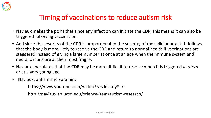

### Timing of vaccinations to reduce autism risk

- Naviaux makes the point that since any infection can initiate the CDR, this means it can also be triggered following vaccination.
- And since the severity of the CDR is proportional to the severity of the cellular attack, it follows that the body is more likely to resolve the CDR and return to normal health if vaccinations are staggered instead of giving a large number at once at an age when the immune system and neural circuits are at their most fragile.
- Naviaux speculates that the CDR may be more difficult to resolve when it is triggered *in utero*  or at a very young age.
- Naviaux, autism and suramin:

https://www.youtube.com/watch? v=zIdUufy8Lks

http://naviauxlab.ucsd.edu/science-item/autism-research/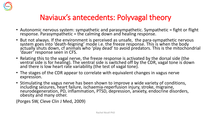

### Naviaux's antecedents: Polyvagal theory

- Autonomic nervous system: sympathetic and parasympathetic. Sympathetic = fight or flight response. Parasympathetic = the calming down and healing response.
- But not always. If the environment is perceived as unsafe, the para-sympathetic nervous system goes into 'death-feigning' mode i.e. the freeze response. This is when the body actually shuts down, cf animals who 'play dead' to avoid predators. This is the mitochondrial 'dauer' response seen in CFS.
- Relating this to the vagal nerve, the freeze response is activated by the dorsal side (the ventral side is for healing). The ventral side is switched off by the CDR, vagal tone is down and there is low heart rate variability (the test of vagal tone).
- The stages of the CDR appear to correlate with equivalent changes in vagus nerve expression.
- Stimulating the vagus nerve has been shown to improve a wide variety of conditions, including seizures, heart failure, ischaemia-reperfusion injury, stroke, migraine, neurodegeneration, PD, inflammation, PTSD, depression, anxiety, endocrine disorders, obesity and many other.

(Porges SW, Cleve Clin J Med, 2009)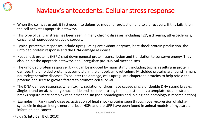

### Naviaux's antecedents: Cellular stress response

- When the cell is stressed, it first goes into defensive mode for protection and to aid recovery. If this fails, then the cell activates apoptosis pathways.
- This type of cellular stress has been seen in many chronic diseases, including T2D, ischaemia, atherosclerosis, cancer and neurodegenerative disorders.
- Typical protective responses include upregulating antioxidant enzymes, heat shock protein production, the unfolded protein response and the DNA damage response.
- Heat shock proteins (HSPs) shut down general protein transcription and translation to conserve energy. They also inhibit the apoptotic pathways and upregulate pro-survival mechanisms.
- The unfolded protein response (UPR): can be induced by many stimuli, including toxins, resulting in protein damage; the unfolded proteins accumulate in the endoplasmic reticulum. Misfolded proteins are found in many neurodegenerative diseases. To counter the damage, cells upregulate chaperone proteins to help refold the proteins and secrete growth factors to promote cell survival.
- The DNA damage response: when toxins, radiation or drugs have caused single or double DNA strand breaks. Single strand breaks undergo nucleotide excision repair using the intact strand as a template; double strand breaks require more complex repair mechanism (non-homologous end joining and homologous recombination).
- Examples: In Parkinson's disease, activation of heat shock proteins seen through over-expression of alphasynuclein in dopaminergic neurons; both HSPs and the UPR have been found in animal models of myocardial infarction and cancer.

(Fulda S, Int J Cell Biol, 2010)

Rachel Nicoll PhD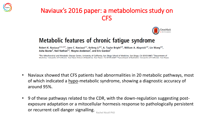

### Naviaux's 2016 paper: a metabolomics study on CFS



### Metabolic features of chronic fatigue syndrome

Robert K. Naviaux<sup>a,b,c,d,1</sup>, Jane C. Naviaux<sup>a,e</sup>, Kefeng Li<sup>a,b</sup>, A. Taylor Bright<sup>a,b</sup>, William A. Alaynick<sup>a,b</sup>, Lin Wang<sup>a,b</sup>, Asha Baxter<sup>f</sup>, Neil Nathan<sup>f,2</sup>, Wayne Anderson<sup>f</sup>, and Eric Gordon<sup>f</sup>

<sup>a</sup>The Mitochondrial and Metabolic Disease Center, University of California, San Diego School of Medicine, San Diego, CA 92103-8467; <sup>b</sup>Department of Medicine University of California, San Diego School of Medicine, San Diego, CA 92103-8467; Spenartment of Pediatrics University of California, San Diego

- Naviaux showed that CFS patients had abnormalities in 20 metabolic pathways, most of which indicated a hypo-metabolic syndrome, showing a diagnostic accuracy of around 95%.
- 9 of these pathways related to the CDR, with the down-regulation suggesting postexposure adaptation or a mitocellular hormesis response to pathologically persistent or recurrent cell danger signalling. Rachel Nicoll PhD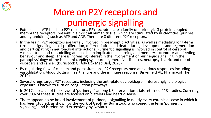

# More on P2Y receptors and purinergic signalling

- Extracellular ATP binds to P2Y receptors. P2Y receptors are a family of purinergic G protein-coupled membrane receptors, present in almost all human tissue, which are stimulated by nucleotides (purines and pyramidines) such as ATP and ADP. There are 8 different P2Y receptors.
- In the brain, P2Y receptors are largely involved in presynaptic activities, as well as mediating long-term (trophic) signalling in cell proliferation, differentiation and death during development and regeneration and participating in neuron-glial interactions. Purinergic signalling is involved in control of cerebral vascular tone and remodelling and has been implicated in learning and memory, locomotor and feeding behaviour and sleep. There is increasing interest in the involvement of purinergic signalling in the pathophysiology of the ischaemia, epilepsy, neurodegenerative diseases, neuropsychiatric and mood disorders and cancer. (Burnstock G, Adv Exp Med Biol, 2020)
- By regulating flow of calcium and potassium ions, P2Y receptors mediate various responses including vasodilatation, blood clotting, heart failure and the immune response (Birkenfeld AL, Pharmacol Ther, 2019).
- Several drugs target P2Y receptors, including the anti-platelet clopidogrel. Interestingly, a biological exposure is known to turn on coagulation pathways.
- In 2017, a search of the keyword 'purinergic' among US intervention trials returned 418 studies. Currently, over 90% of these studies are focused on platelets and heart disease.
- There appears to be broad involvement of purinergic signalling in nearly every chronic disease in which it has been studied, as shown by the work of Geoffrey Burnstock, who coined the term 'purinergic signalling', and is referenced extensively by Naviaux.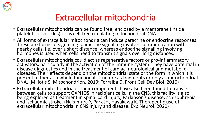

### Extracellular mitochondria

- Extracellular mitochondria can be found free, enclosed by a membrane (inside platelets or vesicles) or as cell-free circulating mitochondrial DNA.
- All forms of extracellular mitochondria can induce paracrine or endocrine responses. These are forms of signalling: paracrine signalling involves communication with nearby cells, i.e. over a short distance, whereas endocrine signalling involving hormones is used when cells need to transmit signals over long distances.
- Extracellular mitochondria could act as regenerative factors or pro-inflammatory activators, particularly in the activation of the immune system. They have potential in disease diagnostics and in the treatment of cardiac, neurological and metabolic diseases. Their effects depend on the mitochondrial state or the form in which it is present, either as a whole functional structure as fragments or only as mitochondrial DNA. (Miliotis S, Mitochondrion. 2019; Torralba D, Front Cell Dev Biol. 2016)
- Extracellular mitochondria or their components have also been found to transfer between cells to support OXPHOS in recipient cells. In the CNS, this facility is also being explored as treatment in spinal cord injury, Parkinson's disease, schizophrenia and ischaemic stroke. (Nakamura Y, Park JH, Hayakawa K. Therapeutic use of extracellular mitochondria in CNS injury and disease. Exp Neurol. 2020)